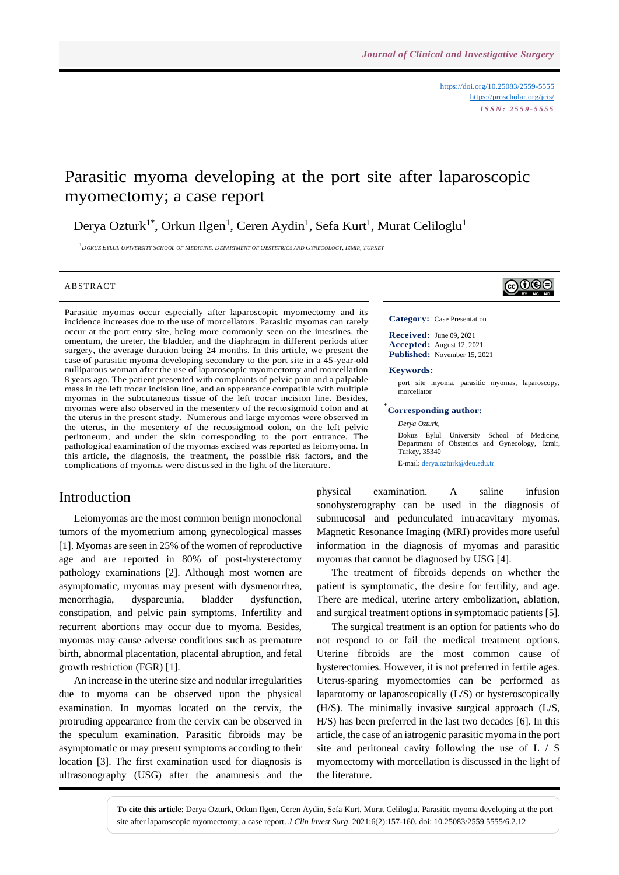<https://doi.org/10.25083/2559-5555> <https://proscholar.org/jcis/> *I S S N : 2 5 5 9 - 5 5 5 5*

# Parasitic myoma developing at the port site after laparoscopic myomectomy; a case report

Derya Ozturk $^{1*}$ , Orkun Ilgen $^1$ , Ceren Aydin $^1$ , Sefa Kurt $^1$ , Murat Celiloglu $^1$ 

<sup>1</sup>DOKUZ EYLUL UNIVERSITY SCHOOL OF MEDICINE, DEPARTMENT OF OBSTETRICS AND GYNECOLOGY, IZMIR, TURKEY

#### **ABSTRACT**

Parasitic myomas occur especially after laparoscopic myomectomy and its incidence increases due to the use of morcellators. Parasitic myomas can rarely occur at the port entry site, being more commonly seen on the intestines, the omentum, the ureter, the bladder, and the diaphragm in different periods after surgery, the average duration being 24 months. In this article, we present the case of parasitic myoma developing secondary to the port site in a 45-year-old nulliparous woman after the use of laparoscopic myomectomy and morcellation 8 years ago. The patient presented with complaints of pelvic pain and a palpable mass in the left trocar incision line, and an appearance compatible with multiple myomas in the subcutaneous tissue of the left trocar incision line. Besides, myomas were also observed in the mesentery of the rectosigmoid colon and at the uterus in the present study. Numerous and large myomas were observed in the uterus, in the mesentery of the rectosigmoid colon, on the left pelvic peritoneum, and under the skin corresponding to the port entrance. The pathological examination of the myomas excised was reported as leiomyoma. In this article, the diagnosis, the treatment, the possible risk factors, and the complications of myomas were discussed in the light of the literature.

#### Introduction

Leiomyomas are the most common benign monoclonal tumors of the myometrium among gynecological masses [1]. Myomas are seen in 25% of the women of reproductive age and are reported in 80% of post-hysterectomy pathology examinations [2]. Although most women are asymptomatic, myomas may present with dysmenorrhea, menorrhagia, dyspareunia, bladder dysfunction, constipation, and pelvic pain symptoms. Infertility and recurrent abortions may occur due to myoma. Besides, myomas may cause adverse conditions such as premature birth, abnormal placentation, placental abruption, and fetal growth restriction (FGR) [1].

An increase in the uterine size and nodular irregularities due to myoma can be observed upon the physical examination. In myomas located on the cervix, the protruding appearance from the cervix can be observed in the speculum examination. Parasitic fibroids may be asymptomatic or may present symptoms according to their location [3]. The first examination used for diagnosis is ultrasonography (USG) after the anamnesis and the

physical examination. A saline infusion sonohysterography can be used in the diagnosis of submucosal and pedunculated intracavitary myomas. Magnetic Resonance Imaging (MRI) provides more useful information in the diagnosis of myomas and parasitic myomas that cannot be diagnosed by USG [4].

The treatment of fibroids depends on whether the patient is symptomatic, the desire for fertility, and age. There are medical, uterine artery embolization, ablation, and surgical treatment options in symptomatic patients [5].

The surgical treatment is an option for patients who do not respond to or fail the medical treatment options. Uterine fibroids are the most common cause of hysterectomies. However, it is not preferred in fertile ages. Uterus-sparing myomectomies can be performed as laparotomy or laparoscopically (L/S) or hysteroscopically (H/S). The minimally invasive surgical approach (L/S, H/S) has been preferred in the last two decades [6]. In this article, the case of an iatrogenic parasitic myoma in the port site and peritoneal cavity following the use of L / S myomectomy with morcellation is discussed in the light of the literature.

**To cite this article**: Derya Ozturk, Orkun Ilgen, Ceren Aydin, Sefa Kurt, Murat Celiloglu. Parasitic myoma developing at the port site after laparoscopic myomectomy; a case report. *J Clin Invest Surg*. 2021;6(2):157-160. doi: 10.25083/2559.5555/6.2.12

<u>@0®@</u>

**Category:** Case Presentation

**Received:** June 09, 2021 **Accepted:** August 12, 2021 Published: November 15, 2021

#### **Keywords:**

port site myoma, parasitic myomas, laparoscopy, morcellator

#### \* **Corresponding author:**

*Derya Ozturk,*

Dokuz Eylul University School of Medicine, Department of Obstetrics and Gynecology, Izmir, Turkey, 35340

E-mail: [derya.ozturk@deu.edu.tr](mailto:derya.ozturk@deu.edu.tr)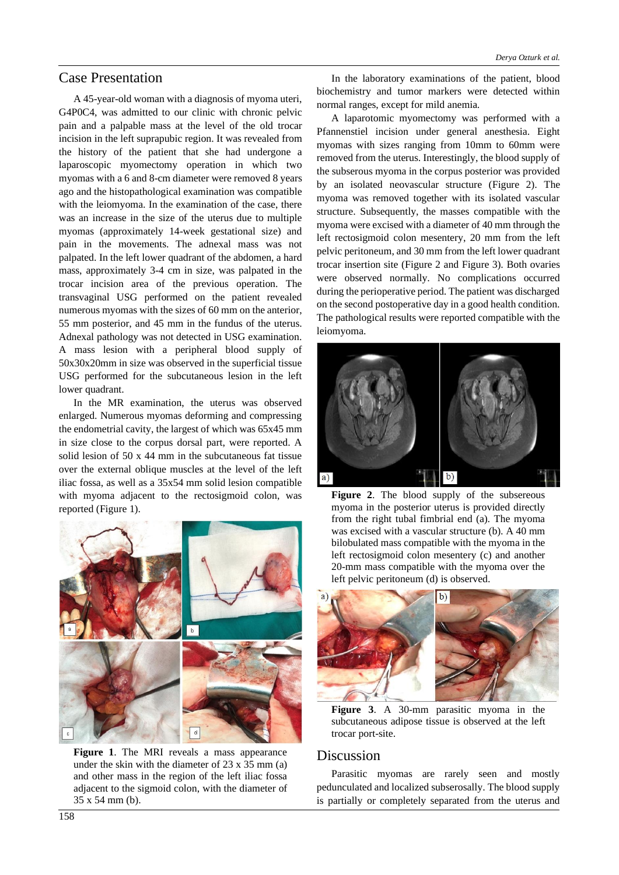#### Case Presentation

A 45-year-old woman with a diagnosis of myoma uteri, G4P0C4, was admitted to our clinic with chronic pelvic pain and a palpable mass at the level of the old trocar incision in the left suprapubic region. It was revealed from the history of the patient that she had undergone a laparoscopic myomectomy operation in which two myomas with a 6 and 8-cm diameter were removed 8 years ago and the histopathological examination was compatible with the leiomyoma. In the examination of the case, there was an increase in the size of the uterus due to multiple myomas (approximately 14-week gestational size) and pain in the movements. The adnexal mass was not palpated. In the left lower quadrant of the abdomen, a hard mass, approximately 3-4 cm in size, was palpated in the trocar incision area of the previous operation. The transvaginal USG performed on the patient revealed numerous myomas with the sizes of 60 mm on the anterior, 55 mm posterior, and 45 mm in the fundus of the uterus. Adnexal pathology was not detected in USG examination. A mass lesion with a peripheral blood supply of 50x30x20mm in size was observed in the superficial tissue USG performed for the subcutaneous lesion in the left lower quadrant.

In the MR examination, the uterus was observed enlarged. Numerous myomas deforming and compressing the endometrial cavity, the largest of which was 65x45 mm in size close to the corpus dorsal part, were reported. A solid lesion of 50 x 44 mm in the subcutaneous fat tissue over the external oblique muscles at the level of the left iliac fossa, as well as a 35x54 mm solid lesion compatible with myoma adjacent to the rectosigmoid colon, was reported (Figure 1).



**Figure 1**. The MRI reveals a mass appearance under the skin with the diameter of 23 x 35 mm (a) and other mass in the region of the left iliac fossa adjacent to the sigmoid colon, with the diameter of 35 x 54 mm (b).

In the laboratory examinations of the patient, blood biochemistry and tumor markers were detected within normal ranges, except for mild anemia.

A laparotomic myomectomy was performed with a Pfannenstiel incision under general anesthesia. Eight myomas with sizes ranging from 10mm to 60mm were removed from the uterus. Interestingly, the blood supply of the subserous myoma in the corpus posterior was provided by an isolated neovascular structure (Figure 2). The myoma was removed together with its isolated vascular structure. Subsequently, the masses compatible with the myoma were excised with a diameter of 40 mm through the left rectosigmoid colon mesentery, 20 mm from the left pelvic peritoneum, and 30 mm from the left lower quadrant trocar insertion site (Figure 2 and Figure 3). Both ovaries were observed normally. No complications occurred during the perioperative period. The patient was discharged on the second postoperative day in a good health condition. The pathological results were reported compatible with the leiomyoma.



**Figure 2**. The blood supply of the subsereous myoma in the posterior uterus is provided directly from the right tubal fimbrial end (a). The myoma was excised with a vascular structure (b). A 40 mm bilobulated mass compatible with the myoma in the left rectosigmoid colon mesentery (c) and another 20-mm mass compatible with the myoma over the left pelvic peritoneum (d) is observed.



**Figure 3**. A 30-mm parasitic myoma in the subcutaneous adipose tissue is observed at the left trocar port-site.

### Discussion

Parasitic myomas are rarely seen and mostly pedunculated and localized subserosally. The blood supply is partially or completely separated from the uterus and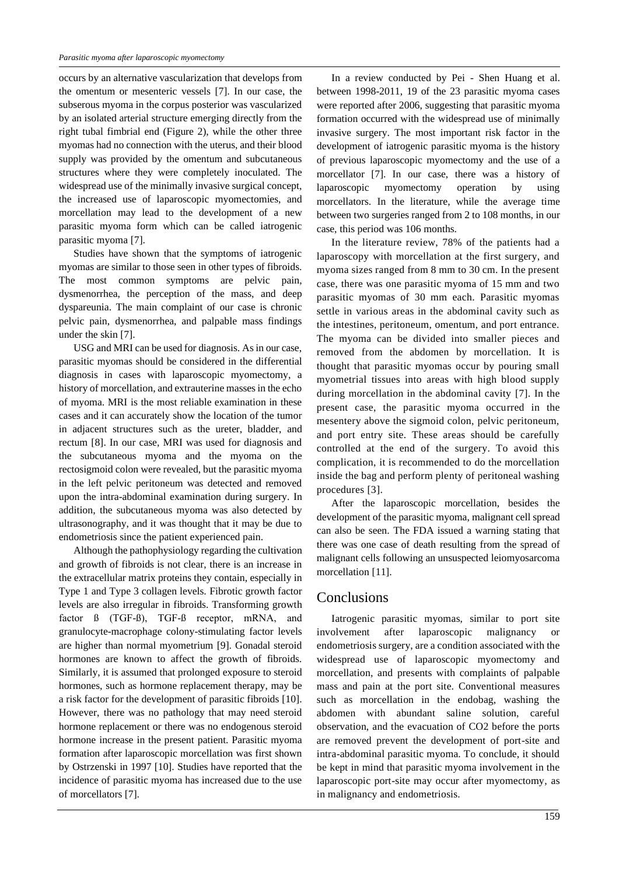occurs by an alternative vascularization that develops from the omentum or mesenteric vessels [7]. In our case, the subserous myoma in the corpus posterior was vascularized by an isolated arterial structure emerging directly from the right tubal fimbrial end (Figure 2), while the other three myomas had no connection with the uterus, and their blood supply was provided by the omentum and subcutaneous structures where they were completely inoculated. The widespread use of the minimally invasive surgical concept, the increased use of laparoscopic myomectomies, and morcellation may lead to the development of a new parasitic myoma form which can be called iatrogenic parasitic myoma [7].

Studies have shown that the symptoms of iatrogenic myomas are similar to those seen in other types of fibroids. The most common symptoms are pelvic pain, dysmenorrhea, the perception of the mass, and deep dyspareunia. The main complaint of our case is chronic pelvic pain, dysmenorrhea, and palpable mass findings under the skin [7].

USG and MRI can be used for diagnosis. As in our case, parasitic myomas should be considered in the differential diagnosis in cases with laparoscopic myomectomy, a history of morcellation, and extrauterine masses in the echo of myoma. MRI is the most reliable examination in these cases and it can accurately show the location of the tumor in adjacent structures such as the ureter, bladder, and rectum [8]. In our case, MRI was used for diagnosis and the subcutaneous myoma and the myoma on the rectosigmoid colon were revealed, but the parasitic myoma in the left pelvic peritoneum was detected and removed upon the intra-abdominal examination during surgery. In addition, the subcutaneous myoma was also detected by ultrasonography, and it was thought that it may be due to endometriosis since the patient experienced pain.

Although the pathophysiology regarding the cultivation and growth of fibroids is not clear, there is an increase in the extracellular matrix proteins they contain, especially in Type 1 and Type 3 collagen levels. Fibrotic growth factor levels are also irregular in fibroids. Transforming growth factor ß (TGF-ß), TGF-ß receptor, mRNA, and granulocyte-macrophage colony-stimulating factor levels are higher than normal myometrium [9]. Gonadal steroid hormones are known to affect the growth of fibroids. Similarly, it is assumed that prolonged exposure to steroid hormones, such as hormone replacement therapy, may be a risk factor for the development of parasitic fibroids [10]. However, there was no pathology that may need steroid hormone replacement or there was no endogenous steroid hormone increase in the present patient. Parasitic myoma formation after laparoscopic morcellation was first shown by Ostrzenski in 1997 [10]. Studies have reported that the incidence of parasitic myoma has increased due to the use of morcellators [7].

In a review conducted by Pei - Shen Huang et al. between 1998-2011, 19 of the 23 parasitic myoma cases were reported after 2006, suggesting that parasitic myoma formation occurred with the widespread use of minimally invasive surgery. The most important risk factor in the development of iatrogenic parasitic myoma is the history of previous laparoscopic myomectomy and the use of a morcellator [7]. In our case, there was a history of laparoscopic myomectomy operation by using morcellators. In the literature, while the average time between two surgeries ranged from 2 to 108 months, in our case, this period was 106 months.

In the literature review, 78% of the patients had a laparoscopy with morcellation at the first surgery, and myoma sizes ranged from 8 mm to 30 cm. In the present case, there was one parasitic myoma of 15 mm and two parasitic myomas of 30 mm each. Parasitic myomas settle in various areas in the abdominal cavity such as the intestines, peritoneum, omentum, and port entrance. The myoma can be divided into smaller pieces and removed from the abdomen by morcellation. It is thought that parasitic myomas occur by pouring small myometrial tissues into areas with high blood supply during morcellation in the abdominal cavity [7]. In the present case, the parasitic myoma occurred in the mesentery above the sigmoid colon, pelvic peritoneum, and port entry site. These areas should be carefully controlled at the end of the surgery. To avoid this complication, it is recommended to do the morcellation inside the bag and perform plenty of peritoneal washing procedures [3].

After the laparoscopic morcellation, besides the development of the parasitic myoma, malignant cell spread can also be seen. The FDA issued a warning stating that there was one case of death resulting from the spread of malignant cells following an unsuspected leiomyosarcoma morcellation [11].

#### Conclusions

Iatrogenic parasitic myomas, similar to port site involvement after laparoscopic malignancy or endometriosis surgery, are a condition associated with the widespread use of laparoscopic myomectomy and morcellation, and presents with complaints of palpable mass and pain at the port site. Conventional measures such as morcellation in the endobag, washing the abdomen with abundant saline solution, careful observation, and the evacuation of CO2 before the ports are removed prevent the development of port-site and intra-abdominal parasitic myoma. To conclude, it should be kept in mind that parasitic myoma involvement in the laparoscopic port-site may occur after myomectomy, as in malignancy and endometriosis.